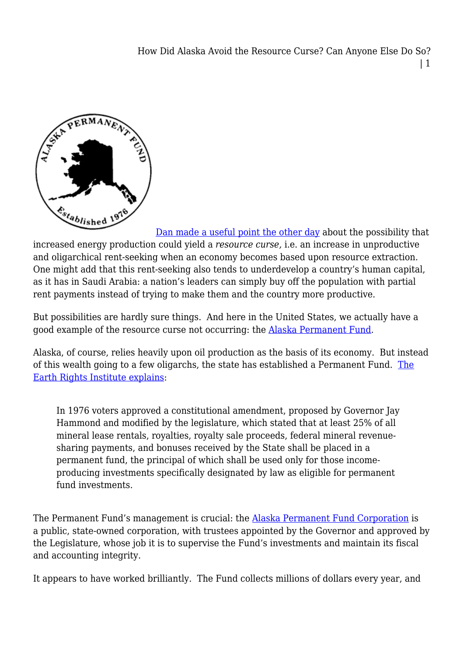

[Dan made a useful point the other day](http://legalplanet.wordpress.com/2012/10/28/the-unintended-consequences-of-an-oil-boom/) about the possibility that increased energy production could yield a *resource curse,* i.e. an increase in unproductive and oligarchical rent-seeking when an economy becomes based upon resource extraction. One might add that this rent-seeking also tends to underdevelop a country's human capital, as it has in Saudi Arabia: a nation's leaders can simply buy off the population with partial rent payments instead of trying to make them and the country more productive.

But possibilities are hardly sure things. And here in the United States, we actually have a good example of the resource curse not occurring: the [Alaska Permanent Fund](http://en.wikipedia.org/wiki/Alaska_Permanent_Fund).

Alaska, of course, relies heavily upon oil production as the basis of its economy. But instead of this wealth going to a few oligarchs, the state has established a Permanent Fund. [The](http://www.earthrights.net/docs/alaska.html) [Earth Rights Institute explains:](http://www.earthrights.net/docs/alaska.html)

In 1976 voters approved a constitutional amendment, proposed by Governor Jay Hammond and modified by the legislature, which stated that at least 25% of all mineral lease rentals, royalties, royalty sale proceeds, federal mineral revenuesharing payments, and bonuses received by the State shall be placed in a permanent fund, the principal of which shall be used only for those incomeproducing investments specifically designated by law as eligible for permanent fund investments.

The Permanent Fund's management is crucial: the [Alaska Permanent Fund Corporation](http://www.apfc.org/home/Content/aboutAPFC/aboutAPFC.cfm) is a public, state-owned corporation, with trustees appointed by the Governor and approved by the Legislature, whose job it is to supervise the Fund's investments and maintain its fiscal and accounting integrity.

It appears to have worked brilliantly. The Fund collects millions of dollars every year, and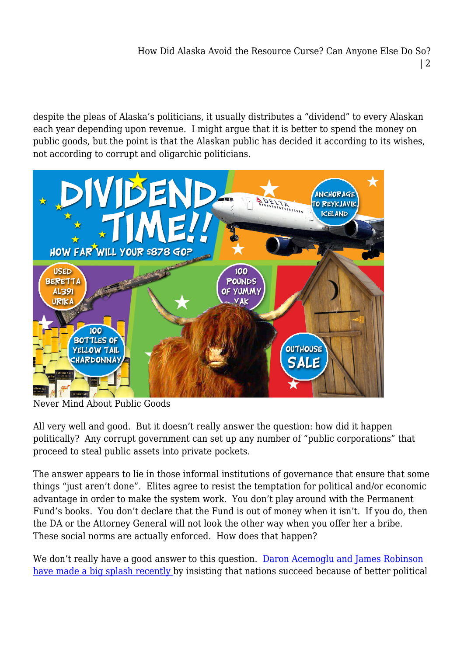despite the pleas of Alaska's politicians, it usually distributes a "dividend" to every Alaskan each year depending upon revenue. I might argue that it is better to spend the money on public goods, but the point is that the Alaskan public has decided it according to its wishes, not according to corrupt and oligarchic politicians.



Never Mind About Public Goods

All very well and good. But it doesn't really answer the question: how did it happen politically? Any corrupt government can set up any number of "public corporations" that proceed to steal public assets into private pockets.

The answer appears to lie in those informal institutions of governance that ensure that some things "just aren't done". Elites agree to resist the temptation for political and/or economic advantage in order to make the system work. You don't play around with the Permanent Fund's books. You don't declare that the Fund is out of money when it isn't. If you do, then the DA or the Attorney General will not look the other way when you offer her a bribe. These social norms are actually enforced. How does that happen?

We don't really have a good answer to this question. [Daron Acemoglu and James Robinson](http://whynationsfail.com/) [have made a big splash recently](http://whynationsfail.com/) by insisting that nations succeed because of better political